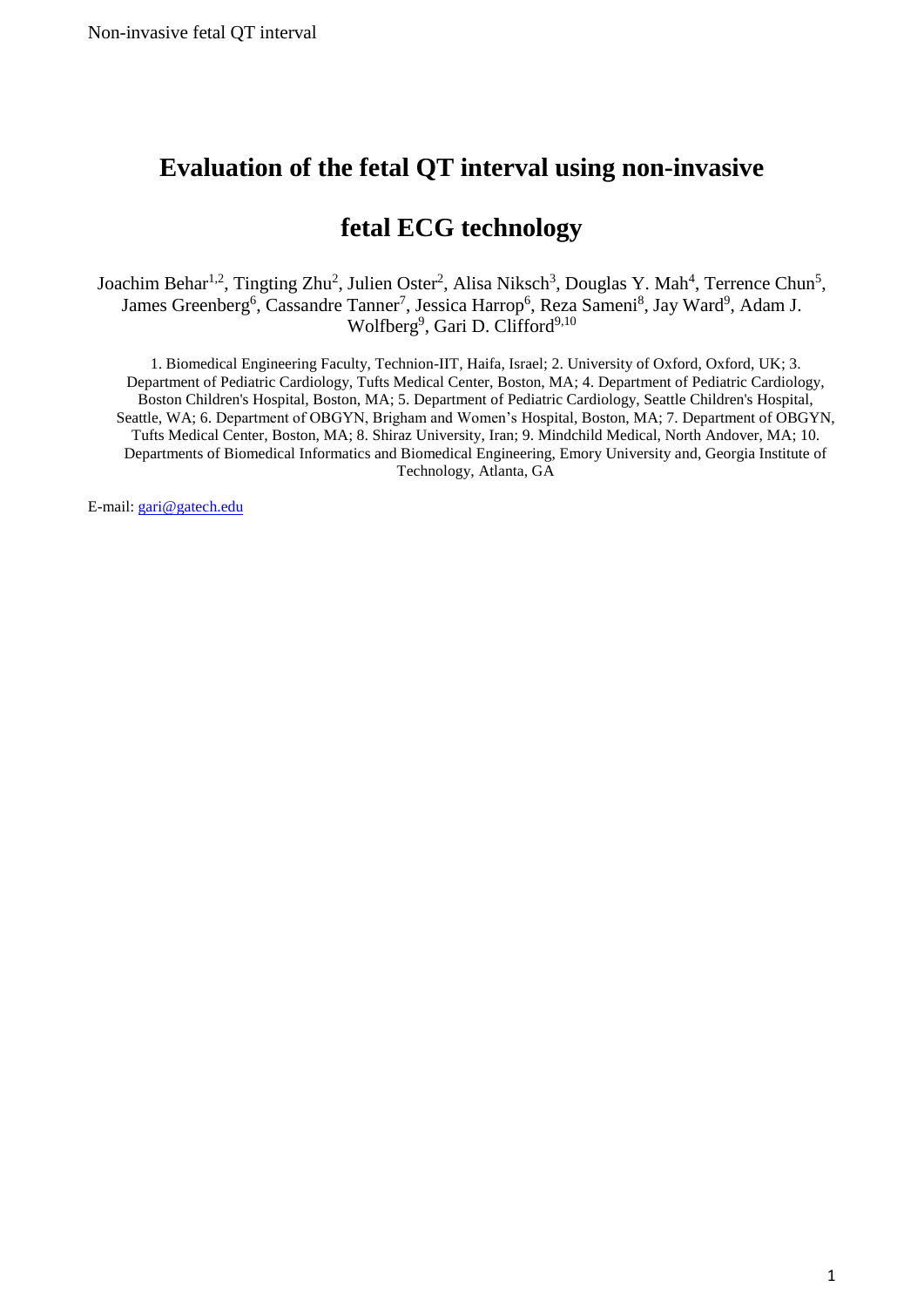# **Evaluation of the fetal QT interval using non-invasive**

# **fetal ECG technology**

Joachim Behar<sup>1,2</sup>, Tingting Zhu<sup>2</sup>, Julien Oster<sup>2</sup>, Alisa Niksch<sup>3</sup>, Douglas Y. Mah<sup>4</sup>, Terrence Chun<sup>5</sup>, James Greenberg<sup>6</sup>, Cassandre Tanner<sup>7</sup>, Jessica Harrop<sup>6</sup>, Reza Sameni<sup>8</sup>, Jay Ward<sup>9</sup>, Adam J. Wolfberg<sup>9</sup>, Gari D. Clifford<sup>9,10</sup>

1. Biomedical Engineering Faculty, Technion-IIT, Haifa, Israel; 2. University of Oxford, Oxford, UK; 3. Department of Pediatric Cardiology, Tufts Medical Center, Boston, MA; 4. Department of Pediatric Cardiology, Boston Children's Hospital, Boston, MA; 5. Department of Pediatric Cardiology, Seattle Children's Hospital, Seattle, WA; 6. Department of OBGYN, Brigham and Women's Hospital, Boston, MA; 7. Department of OBGYN, Tufts Medical Center, Boston, MA; 8. Shiraz University, Iran; 9. Mindchild Medical, North Andover, MA; 10. Departments of Biomedical Informatics and Biomedical Engineering, Emory University and, Georgia Institute of Technology, Atlanta, GA

E-mail: [gari@](mailto:adam.wolfberg@mindchild.com)gatech.edu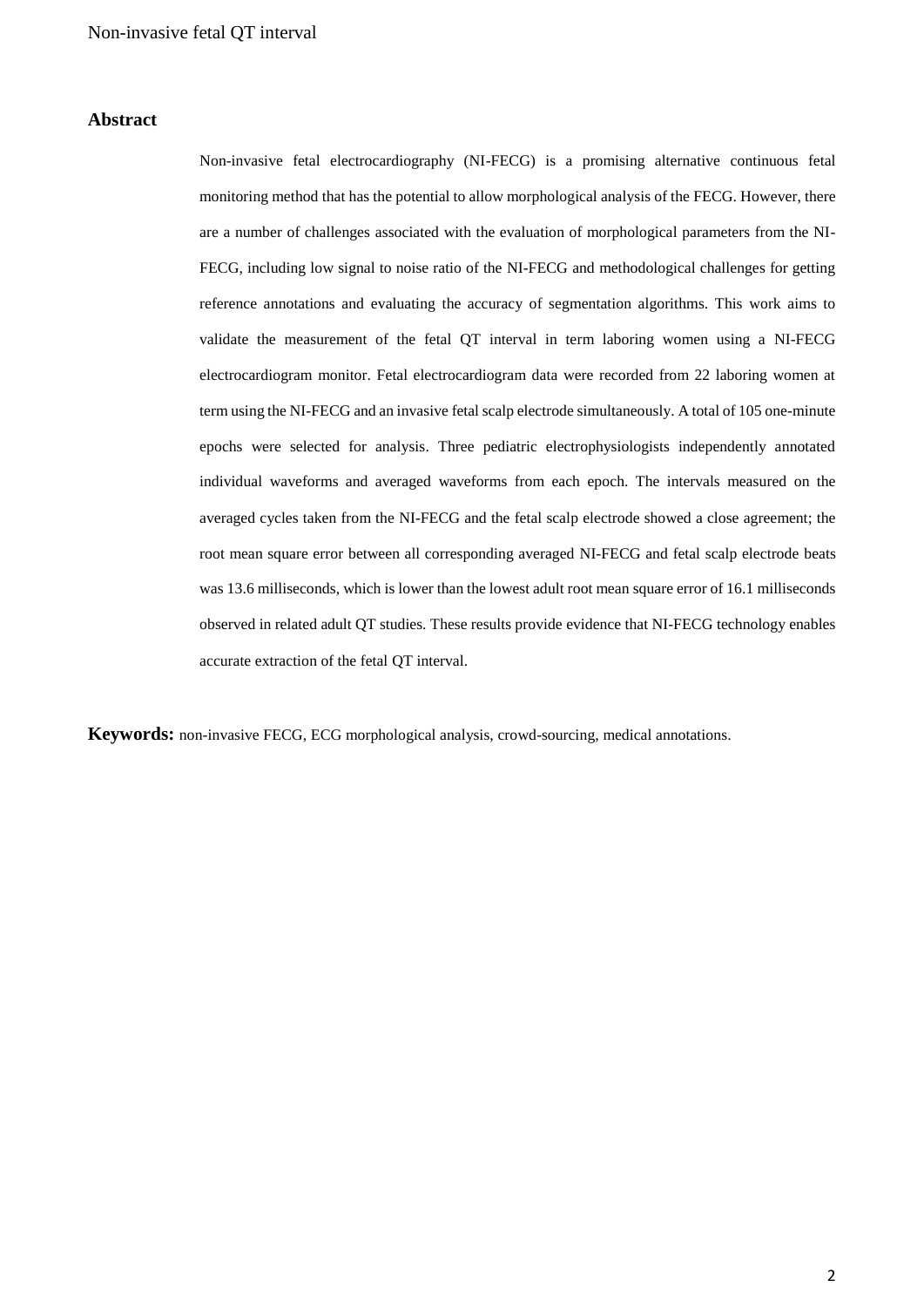### **Abstract**

Non-invasive fetal electrocardiography (NI-FECG) is a promising alternative continuous fetal monitoring method that has the potential to allow morphological analysis of the FECG. However, there are a number of challenges associated with the evaluation of morphological parameters from the NI-FECG, including low signal to noise ratio of the NI-FECG and methodological challenges for getting reference annotations and evaluating the accuracy of segmentation algorithms. This work aims to validate the measurement of the fetal QT interval in term laboring women using a NI-FECG electrocardiogram monitor. Fetal electrocardiogram data were recorded from 22 laboring women at term using the NI-FECG and an invasive fetal scalp electrode simultaneously. A total of 105 one-minute epochs were selected for analysis. Three pediatric electrophysiologists independently annotated individual waveforms and averaged waveforms from each epoch. The intervals measured on the averaged cycles taken from the NI-FECG and the fetal scalp electrode showed a close agreement; the root mean square error between all corresponding averaged NI-FECG and fetal scalp electrode beats was 13.6 milliseconds, which is lower than the lowest adult root mean square error of 16.1 milliseconds observed in related adult QT studies. These results provide evidence that NI-FECG technology enables accurate extraction of the fetal QT interval.

**Keywords:** non-invasive FECG, ECG morphological analysis, crowd-sourcing, medical annotations.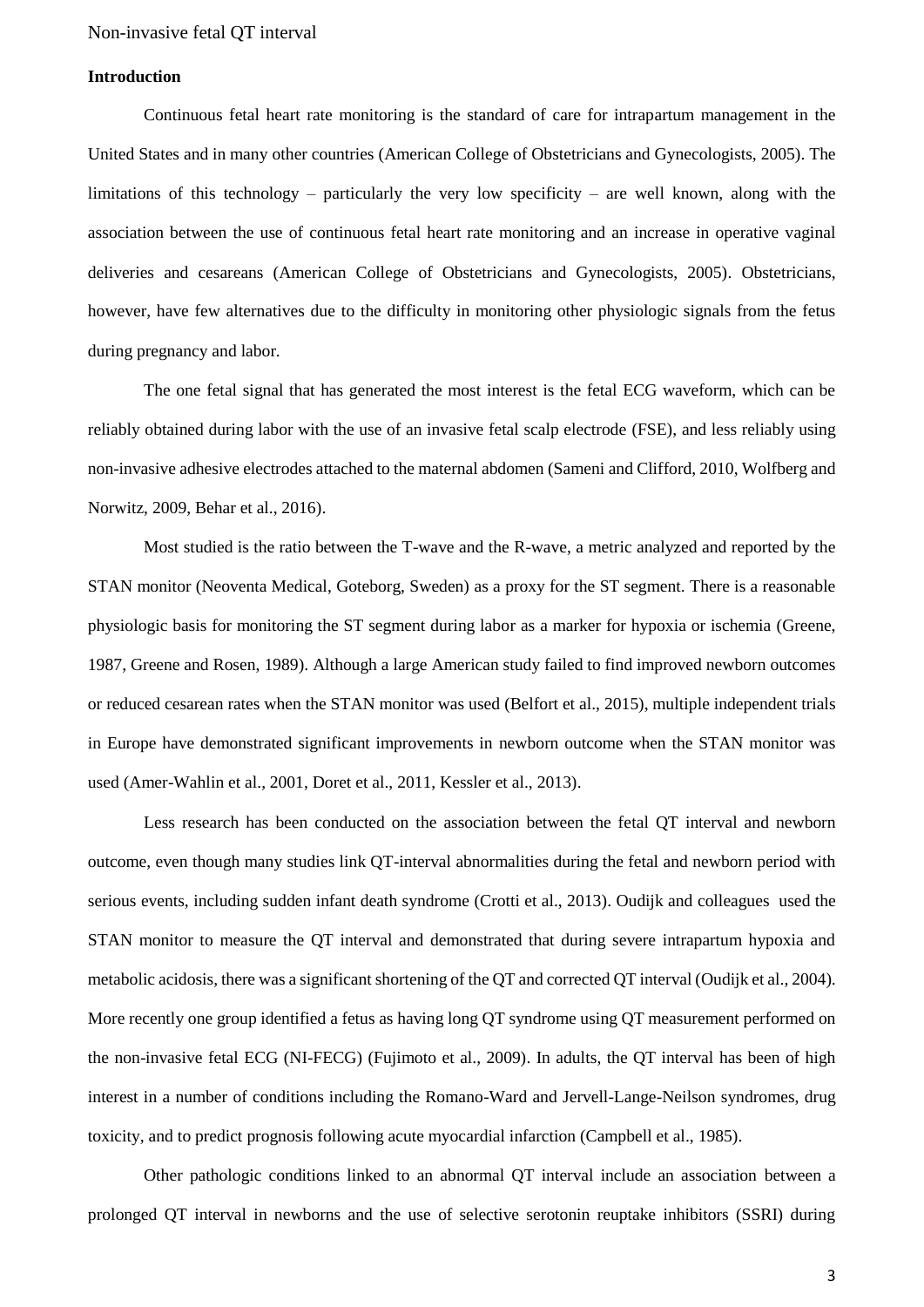#### **Introduction**

Continuous fetal heart rate monitoring is the standard of care for intrapartum management in the United States and in many other countries (American College of Obstetricians and Gynecologists, 2005). The limitations of this technology – particularly the very low specificity – are well known, along with the association between the use of continuous fetal heart rate monitoring and an increase in operative vaginal deliveries and cesareans (American College of Obstetricians and Gynecologists, 2005). Obstetricians, however, have few alternatives due to the difficulty in monitoring other physiologic signals from the fetus during pregnancy and labor.

The one fetal signal that has generated the most interest is the fetal ECG waveform, which can be reliably obtained during labor with the use of an invasive fetal scalp electrode (FSE), and less reliably using non-invasive adhesive electrodes attached to the maternal abdomen (Sameni and Clifford, 2010, Wolfberg and Norwitz, 2009, Behar et al., 2016).

Most studied is the ratio between the T-wave and the R-wave, a metric analyzed and reported by the STAN monitor (Neoventa Medical, Goteborg, Sweden) as a proxy for the ST segment. There is a reasonable physiologic basis for monitoring the ST segment during labor as a marker for hypoxia or ischemia (Greene, 1987, Greene and Rosen, 1989). Although a large American study failed to find improved newborn outcomes or reduced cesarean rates when the STAN monitor was used (Belfort et al., 2015), multiple independent trials in Europe have demonstrated significant improvements in newborn outcome when the STAN monitor was used (Amer-Wahlin et al., 2001, Doret et al., 2011, Kessler et al., 2013).

Less research has been conducted on the association between the fetal QT interval and newborn outcome, even though many studies link QT-interval abnormalities during the fetal and newborn period with serious events, including sudden infant death syndrome (Crotti et al., 2013). Oudijk and colleagues used the STAN monitor to measure the QT interval and demonstrated that during severe intrapartum hypoxia and metabolic acidosis, there was a significant shortening of the QT and corrected QT interval (Oudijk et al., 2004). More recently one group identified a fetus as having long QT syndrome using QT measurement performed on the non-invasive fetal ECG (NI-FECG) (Fujimoto et al., 2009). In adults, the QT interval has been of high interest in a number of conditions including the Romano-Ward and Jervell-Lange-Neilson syndromes, drug toxicity, and to predict prognosis following acute myocardial infarction (Campbell et al., 1985).

Other pathologic conditions linked to an abnormal QT interval include an association between a prolonged QT interval in newborns and the use of selective serotonin reuptake inhibitors (SSRI) during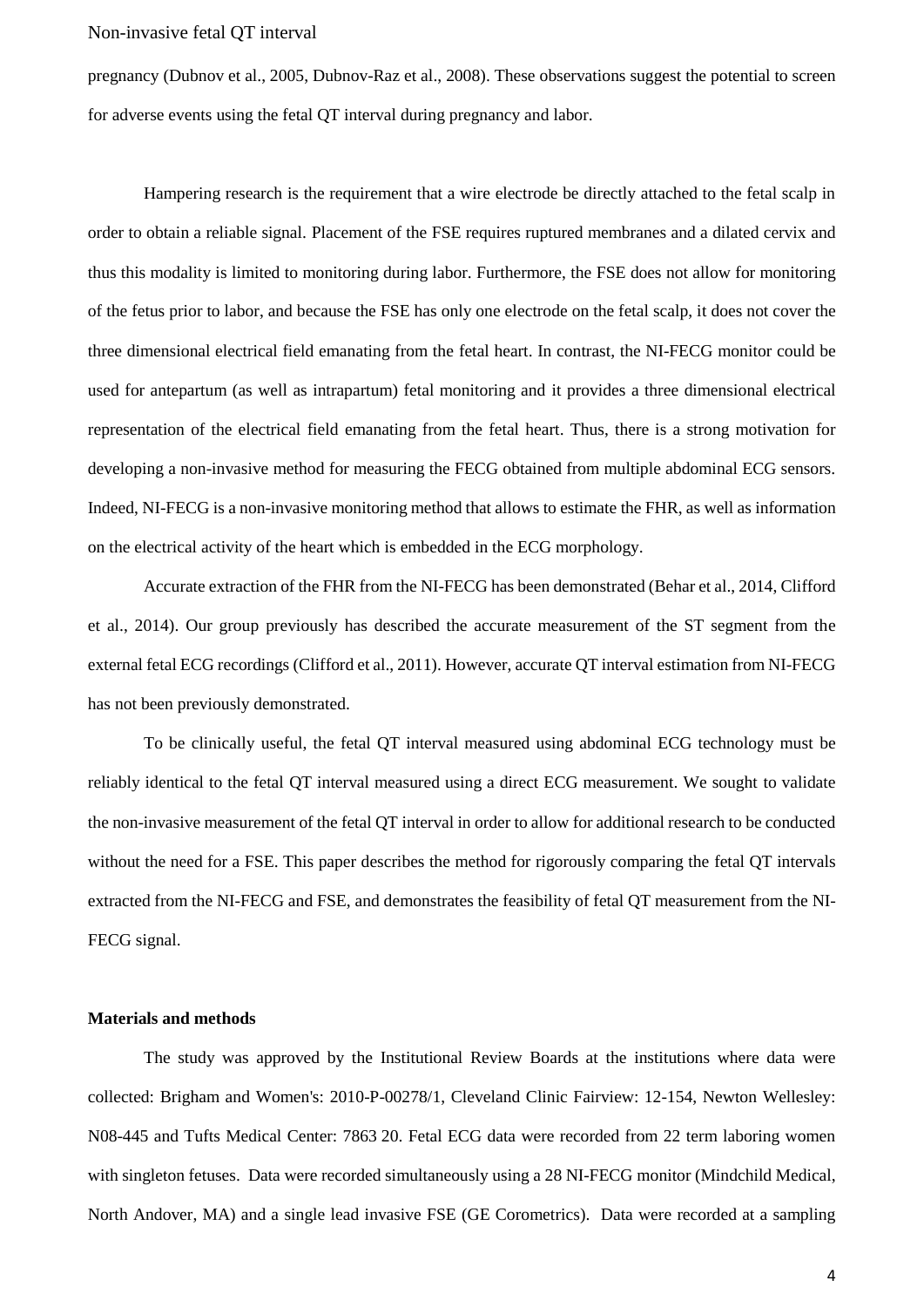pregnancy (Dubnov et al., 2005, Dubnov-Raz et al., 2008). These observations suggest the potential to screen for adverse events using the fetal QT interval during pregnancy and labor.

Hampering research is the requirement that a wire electrode be directly attached to the fetal scalp in order to obtain a reliable signal. Placement of the FSE requires ruptured membranes and a dilated cervix and thus this modality is limited to monitoring during labor. Furthermore, the FSE does not allow for monitoring of the fetus prior to labor, and because the FSE has only one electrode on the fetal scalp, it does not cover the three dimensional electrical field emanating from the fetal heart. In contrast, the NI-FECG monitor could be used for antepartum (as well as intrapartum) fetal monitoring and it provides a three dimensional electrical representation of the electrical field emanating from the fetal heart. Thus, there is a strong motivation for developing a non-invasive method for measuring the FECG obtained from multiple abdominal ECG sensors. Indeed, NI-FECG is a non-invasive monitoring method that allows to estimate the FHR, as well as information on the electrical activity of the heart which is embedded in the ECG morphology.

Accurate extraction of the FHR from the NI-FECG has been demonstrated (Behar et al., 2014, Clifford et al., 2014). Our group previously has described the accurate measurement of the ST segment from the external fetal ECG recordings (Clifford et al., 2011). However, accurate QT interval estimation from NI-FECG has not been previously demonstrated.

To be clinically useful, the fetal QT interval measured using abdominal ECG technology must be reliably identical to the fetal QT interval measured using a direct ECG measurement. We sought to validate the non-invasive measurement of the fetal QT interval in order to allow for additional research to be conducted without the need for a FSE. This paper describes the method for rigorously comparing the fetal QT intervals extracted from the NI-FECG and FSE, and demonstrates the feasibility of fetal QT measurement from the NI-FECG signal.

#### **Materials and methods**

The study was approved by the Institutional Review Boards at the institutions where data were collected: Brigham and Women's: 2010-P-00278/1, Cleveland Clinic Fairview: 12-154, Newton Wellesley: N08-445 and Tufts Medical Center: 7863 20. Fetal ECG data were recorded from 22 term laboring women with singleton fetuses. Data were recorded simultaneously using a 28 NI-FECG monitor (Mindchild Medical, North Andover, MA) and a single lead invasive FSE (GE Corometrics). Data were recorded at a sampling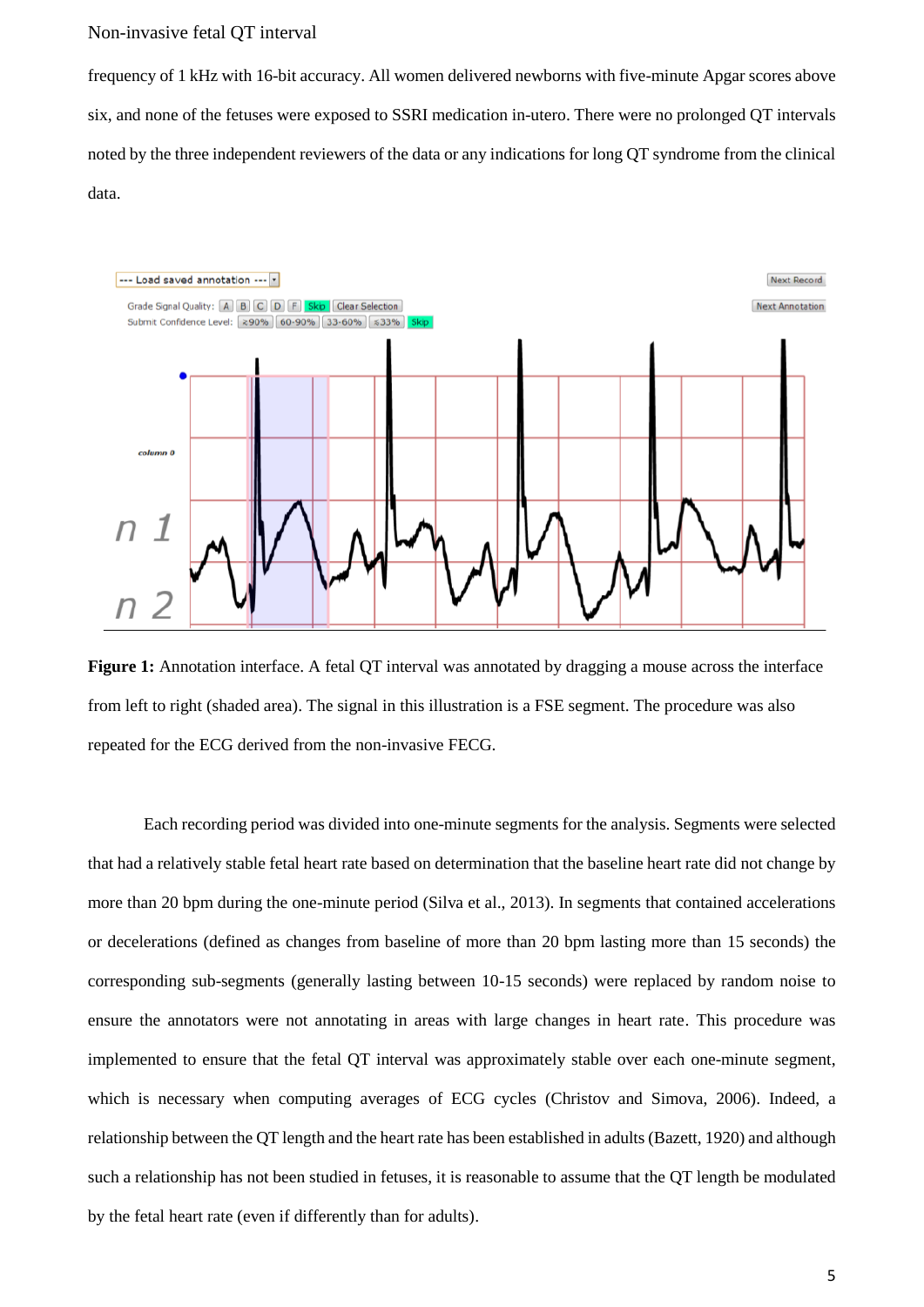frequency of 1 kHz with 16-bit accuracy. All women delivered newborns with five-minute Apgar scores above six, and none of the fetuses were exposed to SSRI medication in-utero. There were no prolonged QT intervals noted by the three independent reviewers of the data or any indications for long QT syndrome from the clinical data.



**Figure 1:** Annotation interface. A fetal QT interval was annotated by dragging a mouse across the interface from left to right (shaded area). The signal in this illustration is a FSE segment. The procedure was also repeated for the ECG derived from the non-invasive FECG.

Each recording period was divided into one-minute segments for the analysis. Segments were selected that had a relatively stable fetal heart rate based on determination that the baseline heart rate did not change by more than 20 bpm during the one-minute period (Silva et al., 2013). In segments that contained accelerations or decelerations (defined as changes from baseline of more than 20 bpm lasting more than 15 seconds) the corresponding sub-segments (generally lasting between 10-15 seconds) were replaced by random noise to ensure the annotators were not annotating in areas with large changes in heart rate. This procedure was implemented to ensure that the fetal QT interval was approximately stable over each one-minute segment, which is necessary when computing averages of ECG cycles (Christov and Simova, 2006). Indeed, a relationship between the QT length and the heart rate has been established in adults(Bazett, 1920) and although such a relationship has not been studied in fetuses, it is reasonable to assume that the QT length be modulated by the fetal heart rate (even if differently than for adults).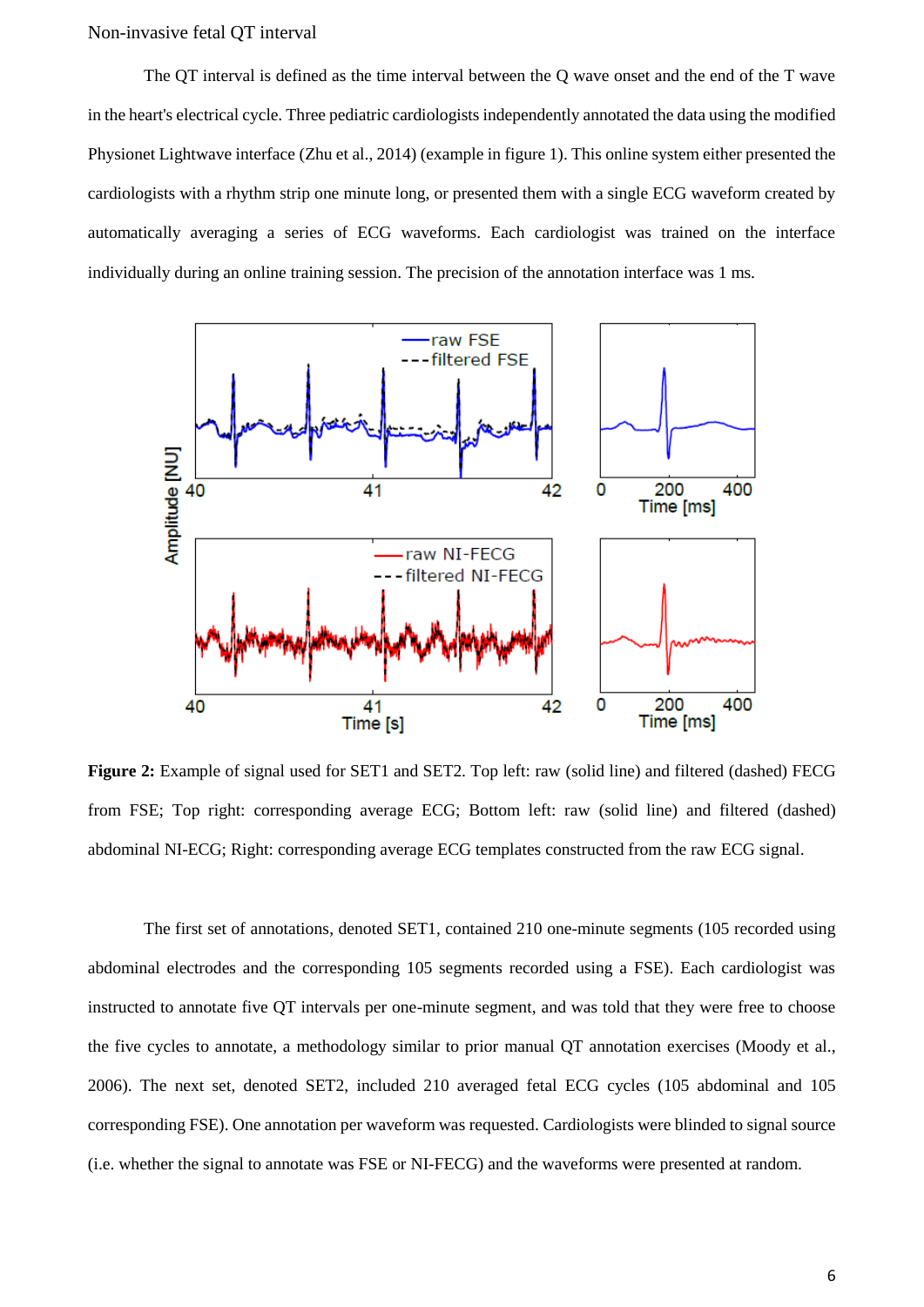The QT interval is defined as the time interval between the Q wave onset and the end of the T wave in the heart's electrical cycle. Three pediatric cardiologists independently annotated the data using the modified Physionet Lightwave interface (Zhu et al., 2014) (example in figure 1). This online system either presented the cardiologists with a rhythm strip one minute long, or presented them with a single ECG waveform created by automatically averaging a series of ECG waveforms. Each cardiologist was trained on the interface individually during an online training session. The precision of the annotation interface was 1 ms.



**Figure 2:** Example of signal used for SET1 and SET2. Top left: raw (solid line) and filtered (dashed) FECG from FSE; Top right: corresponding average ECG; Bottom left: raw (solid line) and filtered (dashed) abdominal NI-ECG; Right: corresponding average ECG templates constructed from the raw ECG signal.

The first set of annotations, denoted SET1, contained 210 one-minute segments (105 recorded using abdominal electrodes and the corresponding 105 segments recorded using a FSE). Each cardiologist was instructed to annotate five QT intervals per one-minute segment, and was told that they were free to choose the five cycles to annotate, a methodology similar to prior manual QT annotation exercises (Moody et al., 2006). The next set, denoted SET2, included 210 averaged fetal ECG cycles (105 abdominal and 105 corresponding FSE). One annotation per waveform was requested. Cardiologists were blinded to signal source (i.e. whether the signal to annotate was FSE or NI-FECG) and the waveforms were presented at random.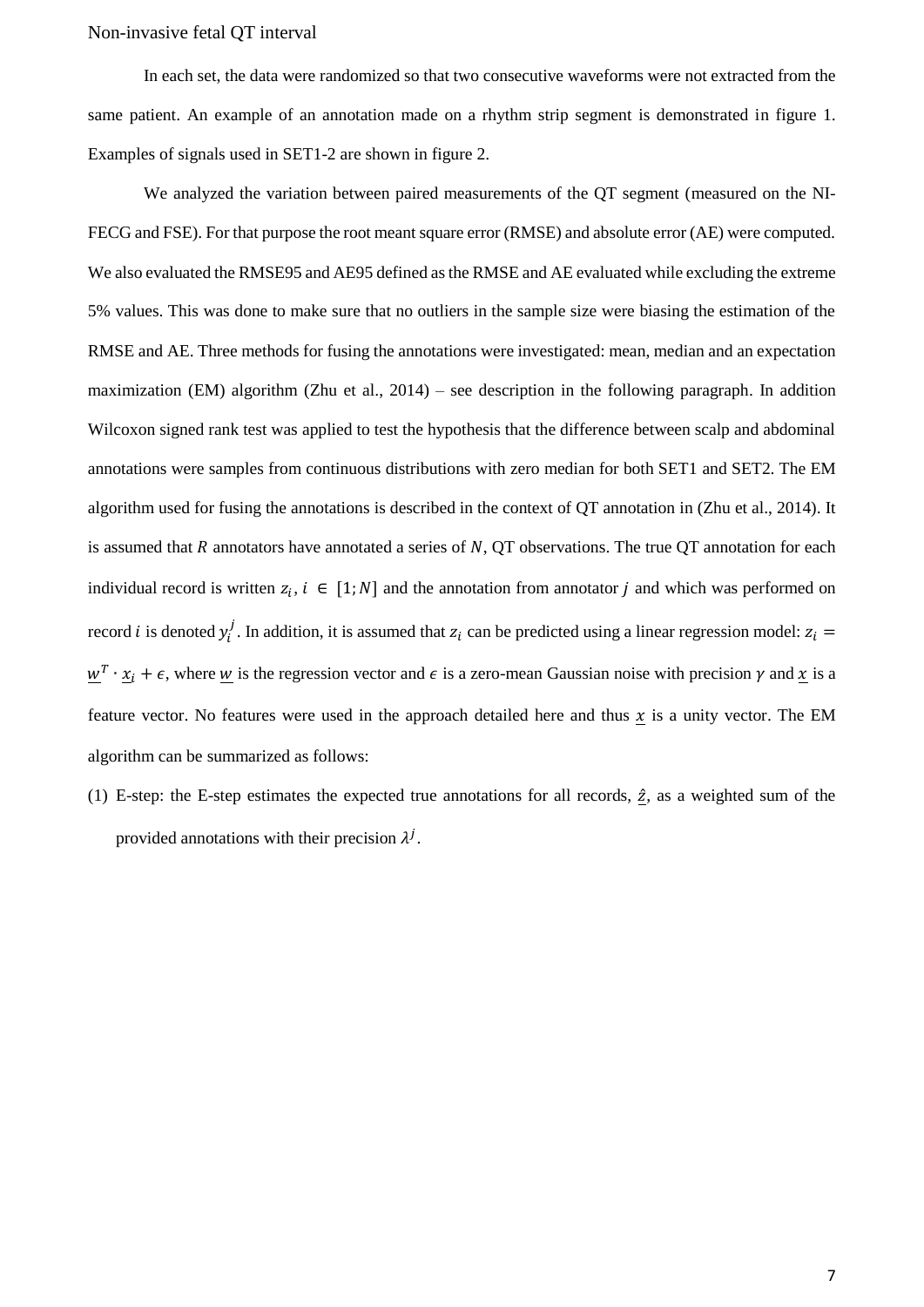In each set, the data were randomized so that two consecutive waveforms were not extracted from the same patient. An example of an annotation made on a rhythm strip segment is demonstrated in figure 1. Examples of signals used in SET1-2 are shown in figure 2.

We analyzed the variation between paired measurements of the QT segment (measured on the NI-FECG and FSE). For that purpose the root meant square error (RMSE) and absolute error (AE) were computed. We also evaluated the RMSE95 and AE95 defined as the RMSE and AE evaluated while excluding the extreme 5% values. This was done to make sure that no outliers in the sample size were biasing the estimation of the RMSE and AE. Three methods for fusing the annotations were investigated: mean, median and an expectation maximization (EM) algorithm (Zhu et al., 2014) – see description in the following paragraph. In addition Wilcoxon signed rank test was applied to test the hypothesis that the difference between scalp and abdominal annotations were samples from continuous distributions with zero median for both SET1 and SET2. The EM algorithm used for fusing the annotations is described in the context of QT annotation in (Zhu et al., 2014). It is assumed that  $R$  annotators have annotated a series of  $N$ , QT observations. The true QT annotation for each individual record is written  $z_i$ ,  $i \in [1; N]$  and the annotation from annotator j and which was performed on record *i* is denoted  $y_i^j$ . In addition, it is assumed that  $z_i$  can be predicted using a linear regression model:  $z_i$  $\underline{w}^T \cdot \underline{x}_i + \epsilon$ , where  $\underline{w}$  is the regression vector and  $\epsilon$  is a zero-mean Gaussian noise with precision  $\gamma$  and  $\underline{x}$  is a feature vector. No features were used in the approach detailed here and thus  $x$  is a unity vector. The EM algorithm can be summarized as follows:

(1) E-step: the E-step estimates the expected true annotations for all records,  $\hat{z}$ , as a weighted sum of the provided annotations with their precision  $\lambda^{j}$ .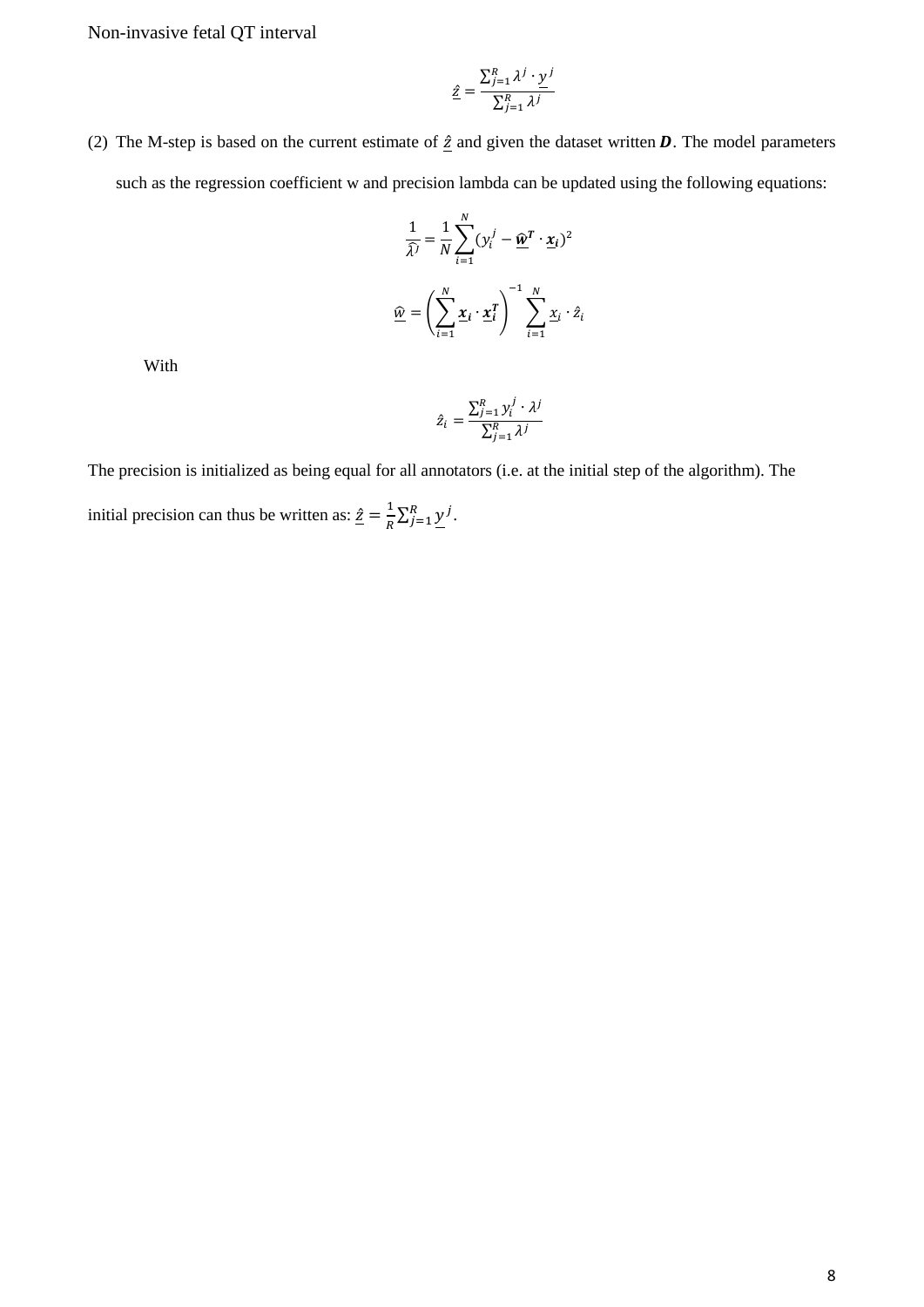$$
\hat{\underline{z}} = \frac{\sum_{j=1}^{R} \lambda^j \cdot \underline{y}^j}{\sum_{j=1}^{R} \lambda^j}
$$

(2) The M-step is based on the current estimate of  $\hat{z}$  and given the dataset written  $\hat{D}$ . The model parameters such as the regression coefficient w and precision lambda can be updated using the following equations:

$$
\frac{1}{\hat{\lambda}^j} = \frac{1}{N} \sum_{i=1}^N (y_i^j - \hat{\underline{w}}^T \cdot \underline{x}_i)^2
$$

$$
\hat{\underline{w}} = \left(\sum_{i=1}^N \underline{x}_i \cdot \underline{x}_i^T\right)^{-1} \sum_{i=1}^N \underline{x}_i \cdot \hat{z}_i
$$

With

$$
\hat{z}_i = \frac{\sum_{j=1}^R y_i^j \cdot \lambda^j}{\sum_{j=1}^R \lambda^j}
$$

The precision is initialized as being equal for all annotators (i.e. at the initial step of the algorithm). The initial precision can thus be written as:  $\hat{z} = \frac{1}{R}$  $\frac{1}{R}\sum_{j=1}^R \underline{y}^j$ .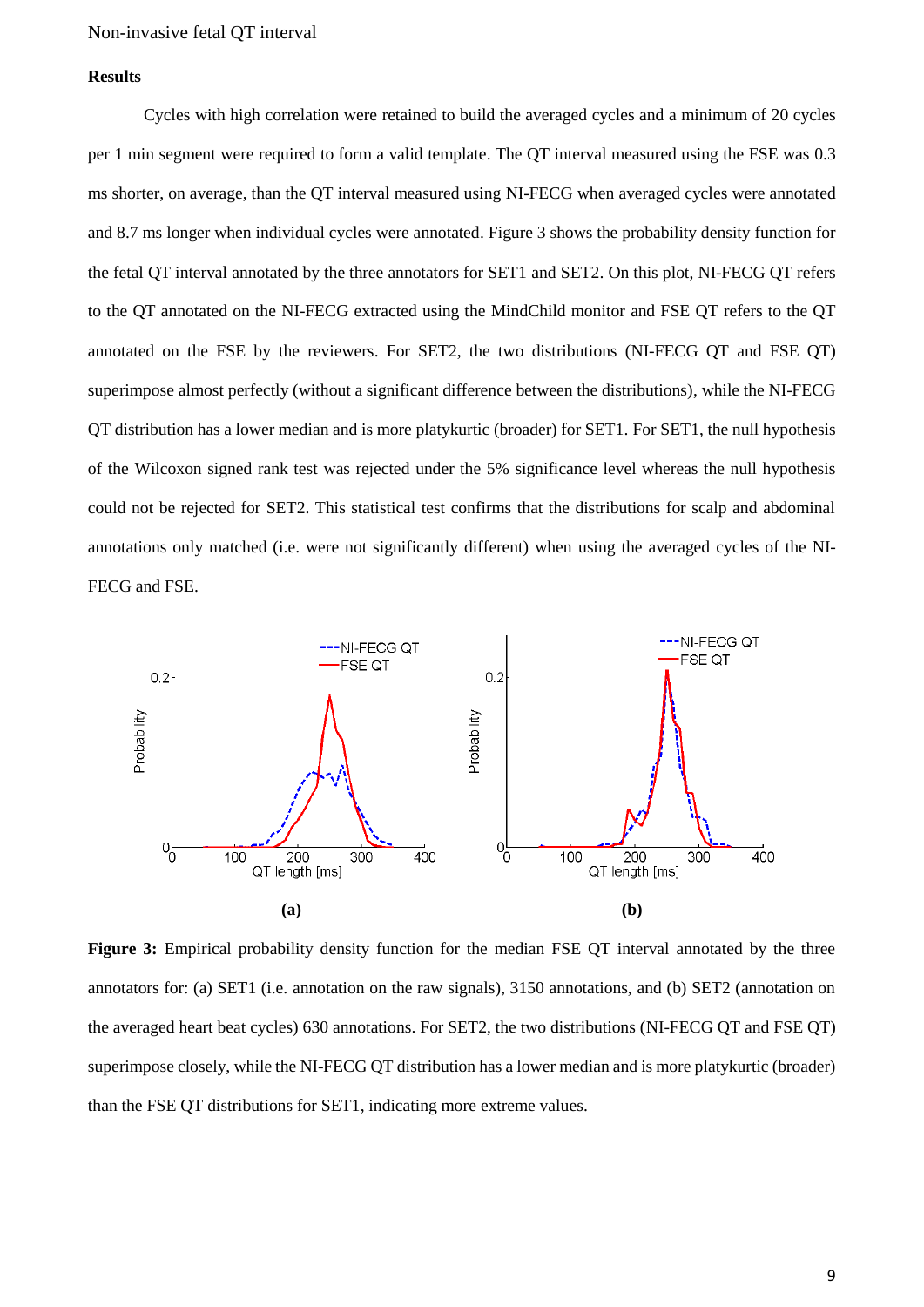# **Results**

Cycles with high correlation were retained to build the averaged cycles and a minimum of 20 cycles per 1 min segment were required to form a valid template. The QT interval measured using the FSE was 0.3 ms shorter, on average, than the QT interval measured using NI-FECG when averaged cycles were annotated and 8.7 ms longer when individual cycles were annotated. Figure 3 shows the probability density function for the fetal QT interval annotated by the three annotators for SET1 and SET2. On this plot, NI-FECG QT refers to the QT annotated on the NI-FECG extracted using the MindChild monitor and FSE QT refers to the QT annotated on the FSE by the reviewers. For SET2, the two distributions (NI-FECG QT and FSE QT) superimpose almost perfectly (without a significant difference between the distributions), while the NI-FECG QT distribution has a lower median and is more platykurtic (broader) for SET1. For SET1, the null hypothesis of the Wilcoxon signed rank test was rejected under the 5% significance level whereas the null hypothesis could not be rejected for SET2. This statistical test confirms that the distributions for scalp and abdominal annotations only matched (i.e. were not significantly different) when using the averaged cycles of the NI-FECG and FSE.



**Figure 3:** Empirical probability density function for the median FSE QT interval annotated by the three annotators for: (a) SET1 (i.e. annotation on the raw signals), 3150 annotations, and (b) SET2 (annotation on the averaged heart beat cycles) 630 annotations. For SET2, the two distributions (NI-FECG QT and FSE QT) superimpose closely, while the NI-FECG QT distribution has a lower median and is more platykurtic (broader) than the FSE QT distributions for SET1, indicating more extreme values.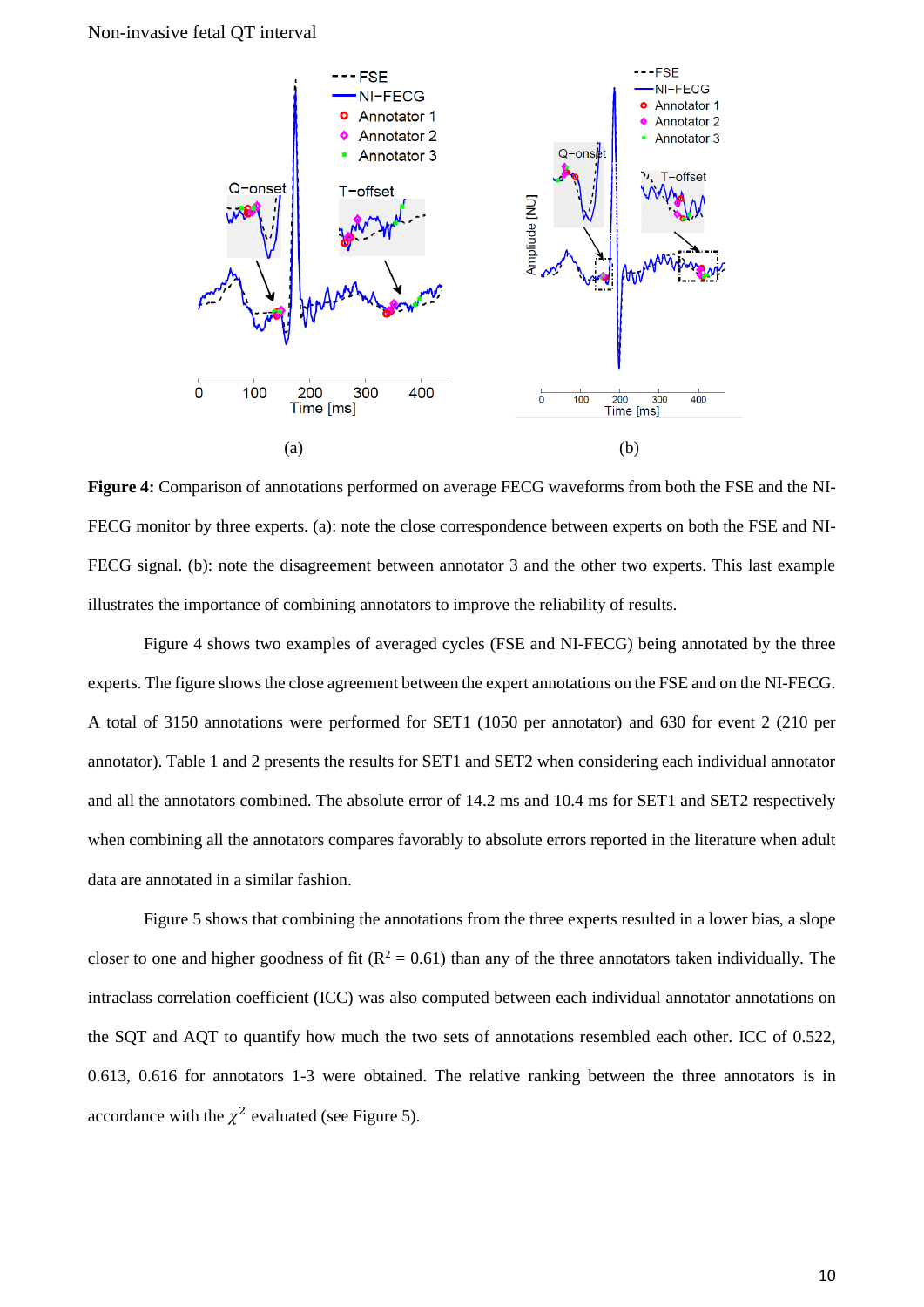

**Figure 4:** Comparison of annotations performed on average FECG waveforms from both the FSE and the NI-FECG monitor by three experts. (a): note the close correspondence between experts on both the FSE and NI-FECG signal. (b): note the disagreement between annotator 3 and the other two experts. This last example illustrates the importance of combining annotators to improve the reliability of results.

Figure 4 shows two examples of averaged cycles (FSE and NI-FECG) being annotated by the three experts. The figure shows the close agreement between the expert annotations on the FSE and on the NI-FECG. A total of 3150 annotations were performed for SET1 (1050 per annotator) and 630 for event 2 (210 per annotator). Table 1 and 2 presents the results for SET1 and SET2 when considering each individual annotator and all the annotators combined. The absolute error of 14.2 ms and 10.4 ms for SET1 and SET2 respectively when combining all the annotators compares favorably to absolute errors reported in the literature when adult data are annotated in a similar fashion.

Figure 5 shows that combining the annotations from the three experts resulted in a lower bias, a slope closer to one and higher goodness of fit ( $R^2 = 0.61$ ) than any of the three annotators taken individually. The intraclass correlation coefficient (ICC) was also computed between each individual annotator annotations on the SQT and AQT to quantify how much the two sets of annotations resembled each other. ICC of 0.522, 0.613, 0.616 for annotators 1-3 were obtained. The relative ranking between the three annotators is in accordance with the  $\chi^2$  evaluated (see Figure 5).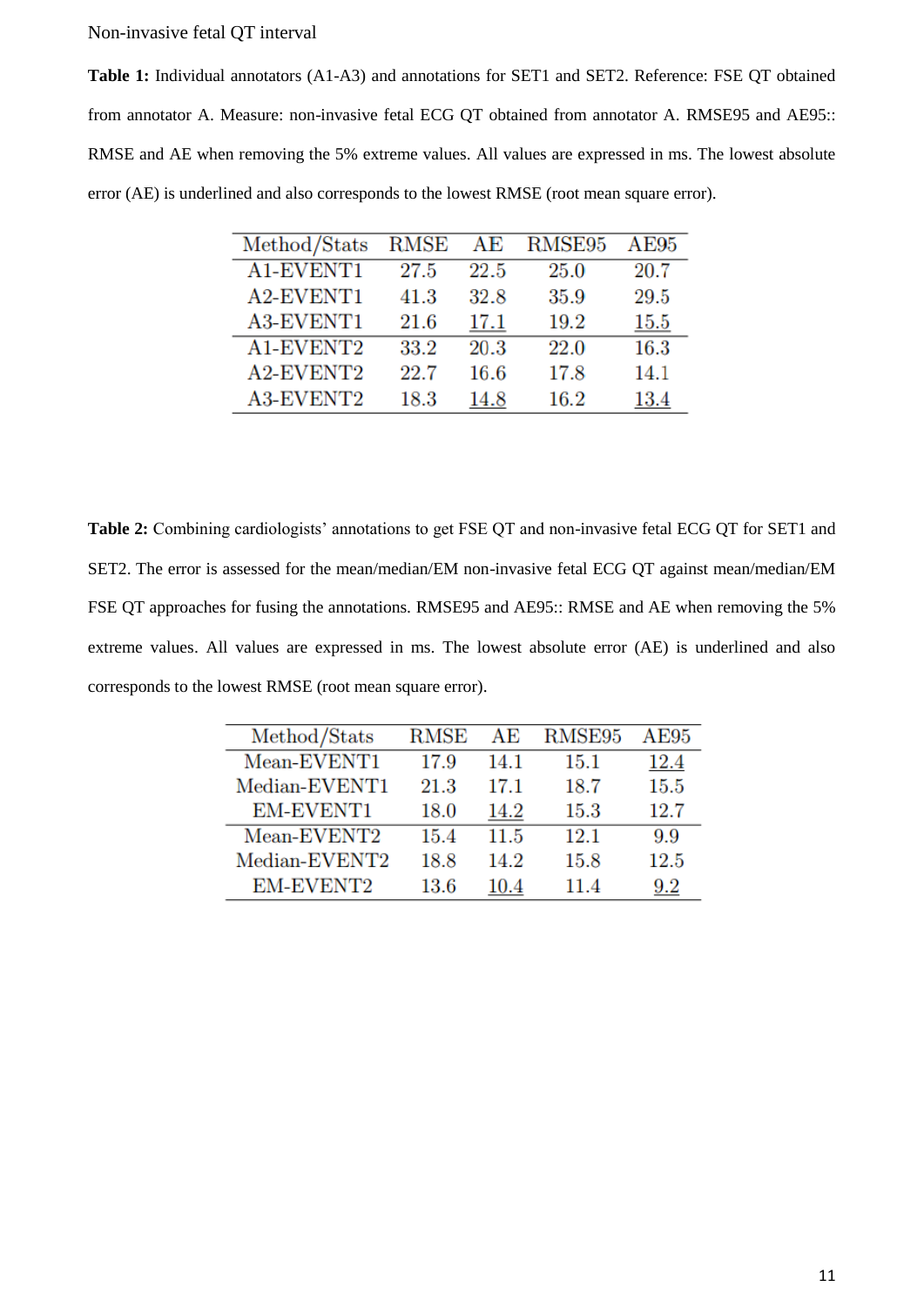**Table 1:** Individual annotators (A1-A3) and annotations for SET1 and SET2. Reference: FSE QT obtained from annotator A. Measure: non-invasive fetal ECG QT obtained from annotator A. RMSE95 and AE95:: RMSE and AE when removing the 5% extreme values. All values are expressed in ms. The lowest absolute error (AE) is underlined and also corresponds to the lowest RMSE (root mean square error).

| Method/Stats | RMSE | AΕ   | RMSE95 | AE95 |
|--------------|------|------|--------|------|
| A1-EVENT1    | 27.5 | 22.5 | 25.0   | 20.7 |
| A2-EVENT1    | 41.3 | 32.8 | 35.9   | 29.5 |
| A3-EVENT1    | 21.6 | 17.1 | 19.2   | 15.5 |
| A1-EVENT2    | 33.2 | 20.3 | 22.0   | 16.3 |
| A2-EVENT2    | 22.7 | 16.6 | 17.8   | 14.1 |
| A3-EVENT2    | 18.3 | 14.8 | 16.2   | 13.4 |

**Table 2:** Combining cardiologists' annotations to get FSE QT and non-invasive fetal ECG QT for SET1 and SET2. The error is assessed for the mean/median/EM non-invasive fetal ECG QT against mean/median/EM FSE QT approaches for fusing the annotations. RMSE95 and AE95:: RMSE and AE when removing the 5% extreme values. All values are expressed in ms. The lowest absolute error (AE) is underlined and also corresponds to the lowest RMSE (root mean square error).

| Method/Stats  | RMSE | AЕ       | RMSE95 | AE95      |
|---------------|------|----------|--------|-----------|
| Mean-EVENT1   | 17.9 | 14.1     | 15.1   | 12.4      |
| Median-EVENT1 | 21.3 | 17.1     | 18.7   | $15.5\,$  |
| EM-EVENT1     | 18.0 | 14.2     | 15.3   | 12.7      |
| Mean-EVENT2   | 15.4 | 11.5     | 12.1   | 9.9       |
| Median-EVENT2 | 18.8 | 14.2     | 15.8   | 12.5      |
| EM-EVENT2     | 13.6 | $10.4\,$ | 11.4   | $\rm 9.2$ |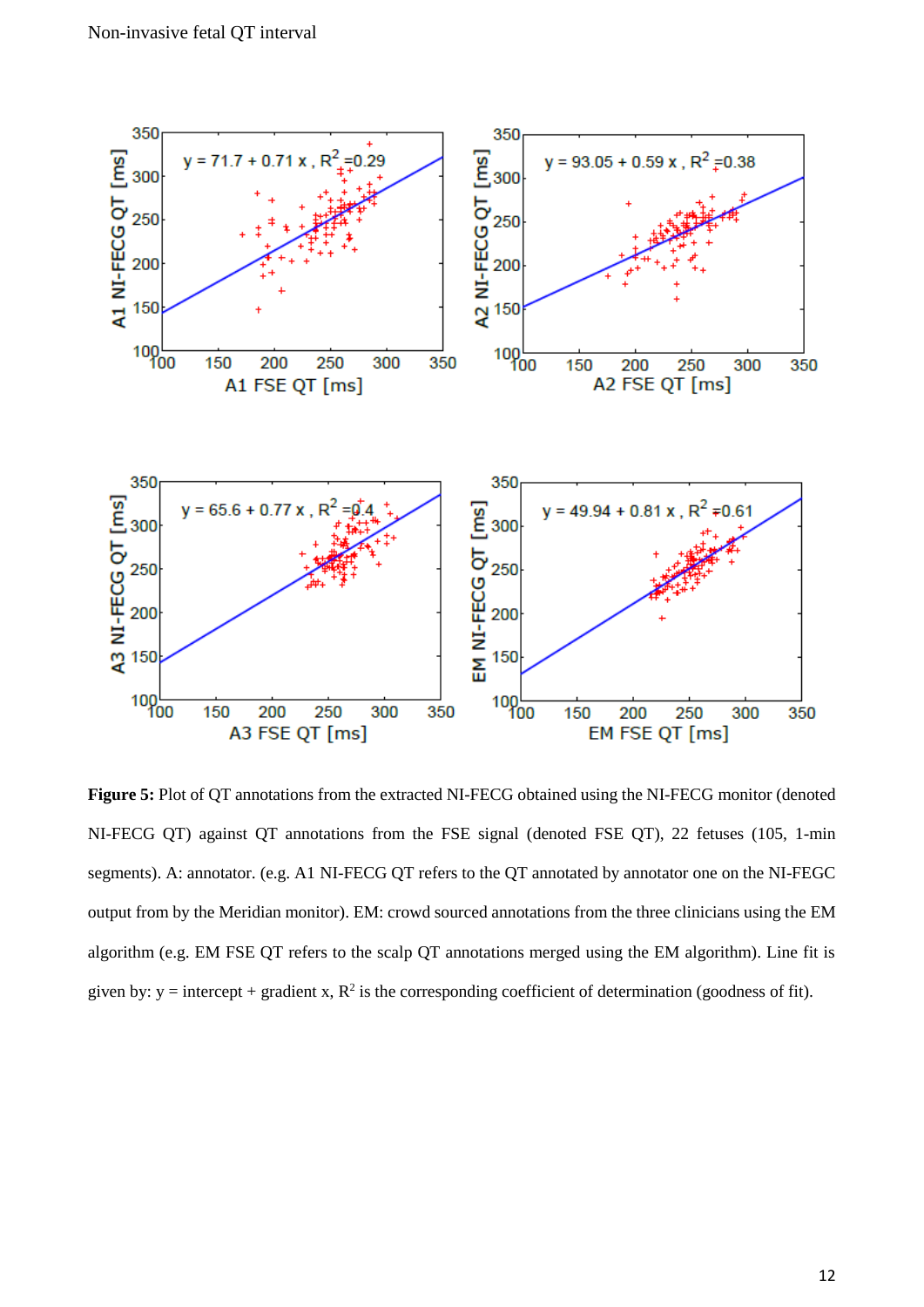

**Figure 5:** Plot of QT annotations from the extracted NI-FECG obtained using the NI-FECG monitor (denoted NI-FECG QT) against QT annotations from the FSE signal (denoted FSE QT), 22 fetuses (105, 1-min segments). A: annotator. (e.g. A1 NI-FECG QT refers to the QT annotated by annotator one on the NI-FEGC output from by the Meridian monitor). EM: crowd sourced annotations from the three clinicians using the EM algorithm (e.g. EM FSE QT refers to the scalp QT annotations merged using the EM algorithm). Line fit is given by:  $y =$  intercept + gradient x,  $R^2$  is the corresponding coefficient of determination (goodness of fit).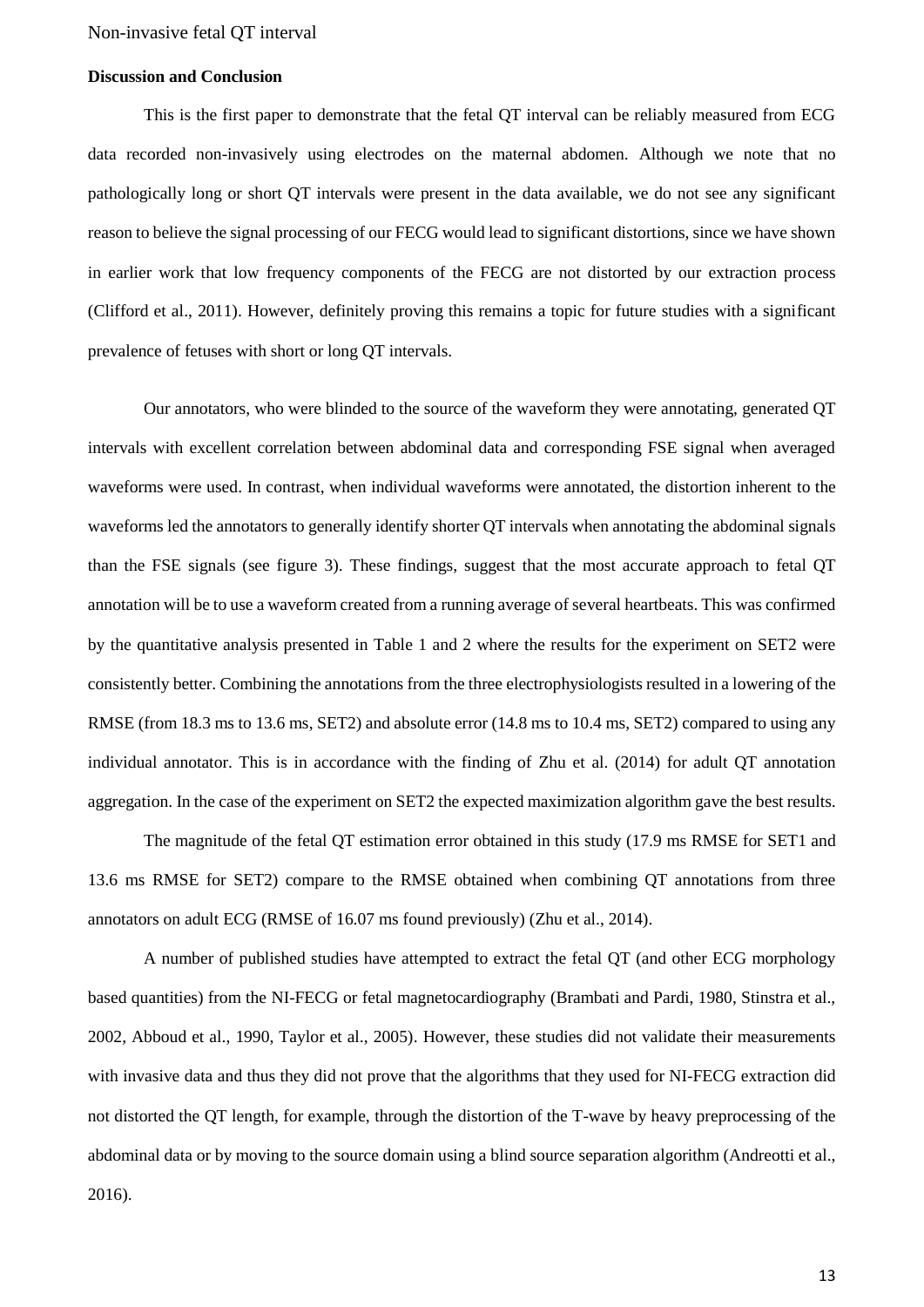#### **Discussion and Conclusion**

This is the first paper to demonstrate that the fetal QT interval can be reliably measured from ECG data recorded non-invasively using electrodes on the maternal abdomen. Although we note that no pathologically long or short QT intervals were present in the data available, we do not see any significant reason to believe the signal processing of our FECG would lead to significant distortions, since we have shown in earlier work that low frequency components of the FECG are not distorted by our extraction process (Clifford et al., 2011). However, definitely proving this remains a topic for future studies with a significant prevalence of fetuses with short or long QT intervals.

Our annotators, who were blinded to the source of the waveform they were annotating, generated QT intervals with excellent correlation between abdominal data and corresponding FSE signal when averaged waveforms were used. In contrast, when individual waveforms were annotated, the distortion inherent to the waveforms led the annotators to generally identify shorter QT intervals when annotating the abdominal signals than the FSE signals (see figure 3). These findings, suggest that the most accurate approach to fetal QT annotation will be to use a waveform created from a running average of several heartbeats. This was confirmed by the quantitative analysis presented in Table 1 and 2 where the results for the experiment on SET2 were consistently better. Combining the annotations from the three electrophysiologists resulted in a lowering of the RMSE (from 18.3 ms to 13.6 ms, SET2) and absolute error (14.8 ms to 10.4 ms, SET2) compared to using any individual annotator. This is in accordance with the finding of Zhu et al. (2014) for adult QT annotation aggregation. In the case of the experiment on SET2 the expected maximization algorithm gave the best results.

The magnitude of the fetal QT estimation error obtained in this study (17.9 ms RMSE for SET1 and 13.6 ms RMSE for SET2) compare to the RMSE obtained when combining QT annotations from three annotators on adult ECG (RMSE of 16.07 ms found previously) (Zhu et al., 2014).

A number of published studies have attempted to extract the fetal QT (and other ECG morphology based quantities) from the NI-FECG or fetal magnetocardiography (Brambati and Pardi, 1980, Stinstra et al., 2002, Abboud et al., 1990, Taylor et al., 2005). However, these studies did not validate their measurements with invasive data and thus they did not prove that the algorithms that they used for NI-FECG extraction did not distorted the QT length, for example, through the distortion of the T-wave by heavy preprocessing of the abdominal data or by moving to the source domain using a blind source separation algorithm (Andreotti et al.,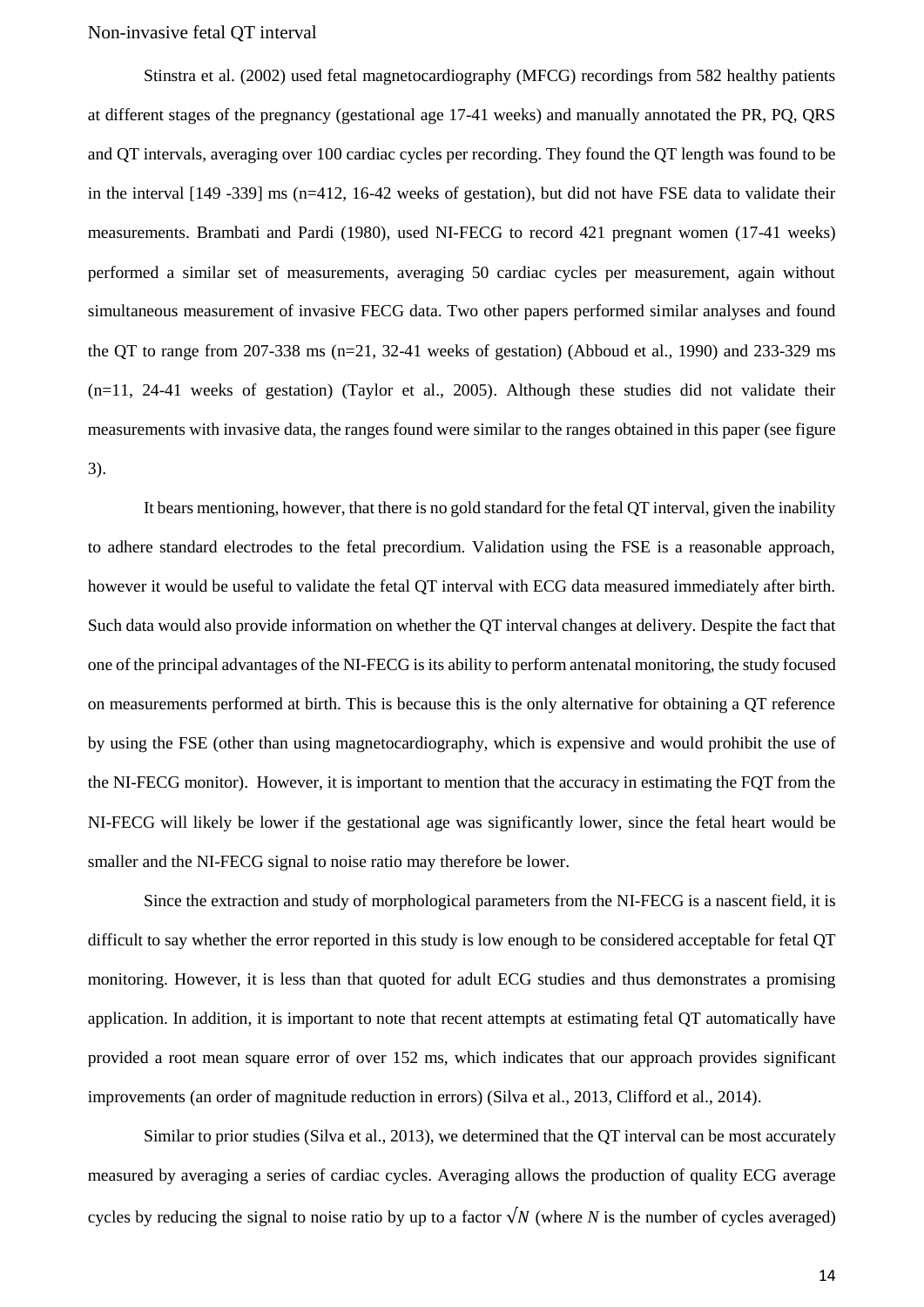Stinstra et al. (2002) used fetal magnetocardiography (MFCG) recordings from 582 healthy patients at different stages of the pregnancy (gestational age 17-41 weeks) and manually annotated the PR, PQ, QRS and QT intervals, averaging over 100 cardiac cycles per recording. They found the QT length was found to be in the interval [149 -339] ms (n=412, 16-42 weeks of gestation), but did not have FSE data to validate their measurements. Brambati and Pardi (1980), used NI-FECG to record 421 pregnant women (17-41 weeks) performed a similar set of measurements, averaging 50 cardiac cycles per measurement, again without simultaneous measurement of invasive FECG data. Two other papers performed similar analyses and found the QT to range from 207-338 ms (n=21, 32-41 weeks of gestation) (Abboud et al., 1990) and 233-329 ms (n=11, 24-41 weeks of gestation) (Taylor et al., 2005). Although these studies did not validate their measurements with invasive data, the ranges found were similar to the ranges obtained in this paper (see figure 3).

It bears mentioning, however, that there is no gold standard for the fetal QT interval, given the inability to adhere standard electrodes to the fetal precordium. Validation using the FSE is a reasonable approach, however it would be useful to validate the fetal QT interval with ECG data measured immediately after birth. Such data would also provide information on whether the QT interval changes at delivery. Despite the fact that one of the principal advantages of the NI-FECG is its ability to perform antenatal monitoring, the study focused on measurements performed at birth. This is because this is the only alternative for obtaining a QT reference by using the FSE (other than using magnetocardiography, which is expensive and would prohibit the use of the NI-FECG monitor). However, it is important to mention that the accuracy in estimating the FQT from the NI-FECG will likely be lower if the gestational age was significantly lower, since the fetal heart would be smaller and the NI-FECG signal to noise ratio may therefore be lower.

Since the extraction and study of morphological parameters from the NI-FECG is a nascent field, it is difficult to say whether the error reported in this study is low enough to be considered acceptable for fetal QT monitoring. However, it is less than that quoted for adult ECG studies and thus demonstrates a promising application. In addition, it is important to note that recent attempts at estimating fetal QT automatically have provided a root mean square error of over 152 ms, which indicates that our approach provides significant improvements (an order of magnitude reduction in errors) (Silva et al., 2013, Clifford et al., 2014).

Similar to prior studies (Silva et al., 2013), we determined that the QT interval can be most accurately measured by averaging a series of cardiac cycles. Averaging allows the production of quality ECG average cycles by reducing the signal to noise ratio by up to a factor  $\sqrt{N}$  (where *N* is the number of cycles averaged)

14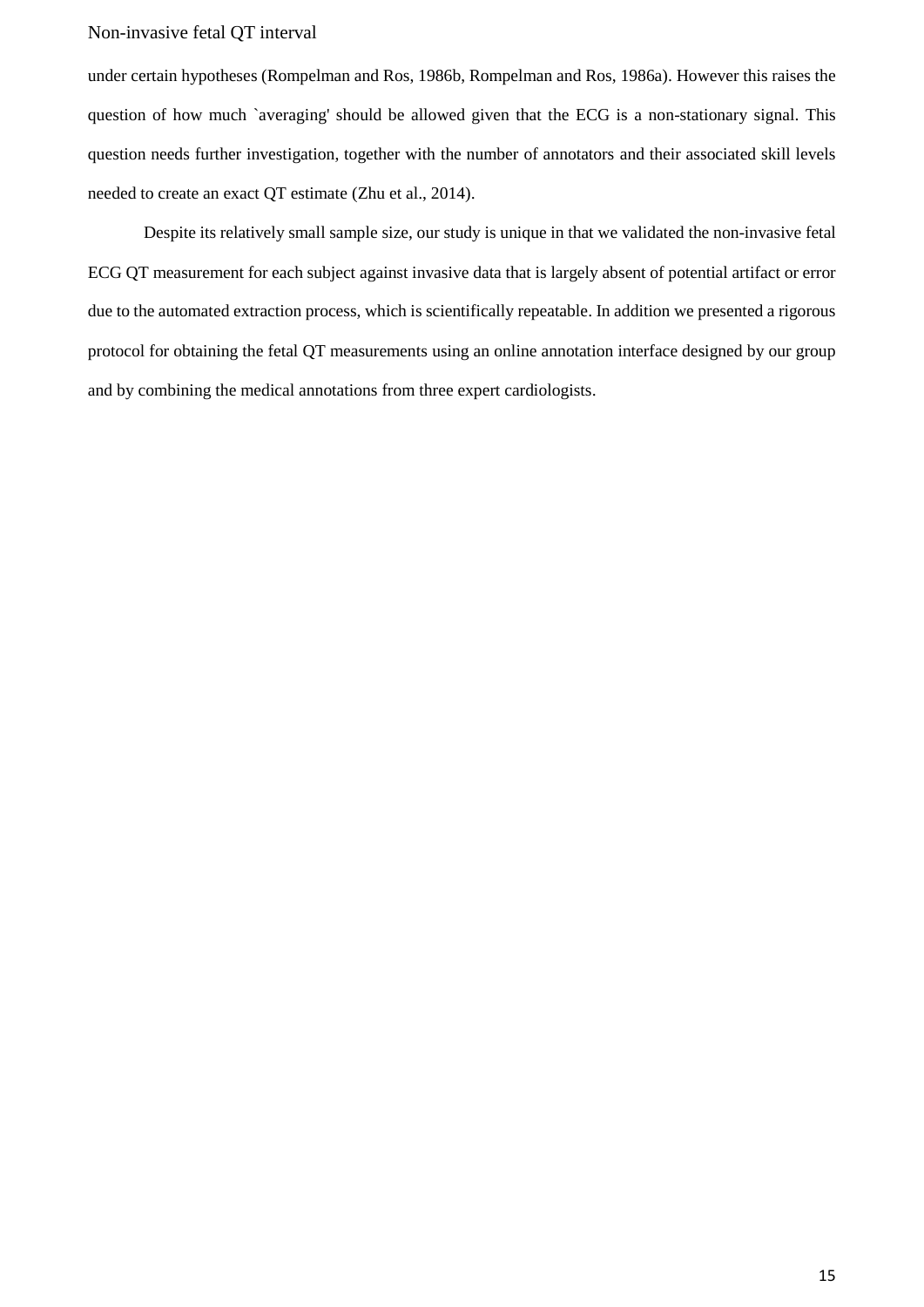under certain hypotheses (Rompelman and Ros, 1986b, Rompelman and Ros, 1986a). However this raises the question of how much `averaging' should be allowed given that the ECG is a non-stationary signal. This question needs further investigation, together with the number of annotators and their associated skill levels needed to create an exact QT estimate (Zhu et al., 2014).

Despite its relatively small sample size, our study is unique in that we validated the non-invasive fetal ECG QT measurement for each subject against invasive data that is largely absent of potential artifact or error due to the automated extraction process, which is scientifically repeatable. In addition we presented a rigorous protocol for obtaining the fetal QT measurements using an online annotation interface designed by our group and by combining the medical annotations from three expert cardiologists.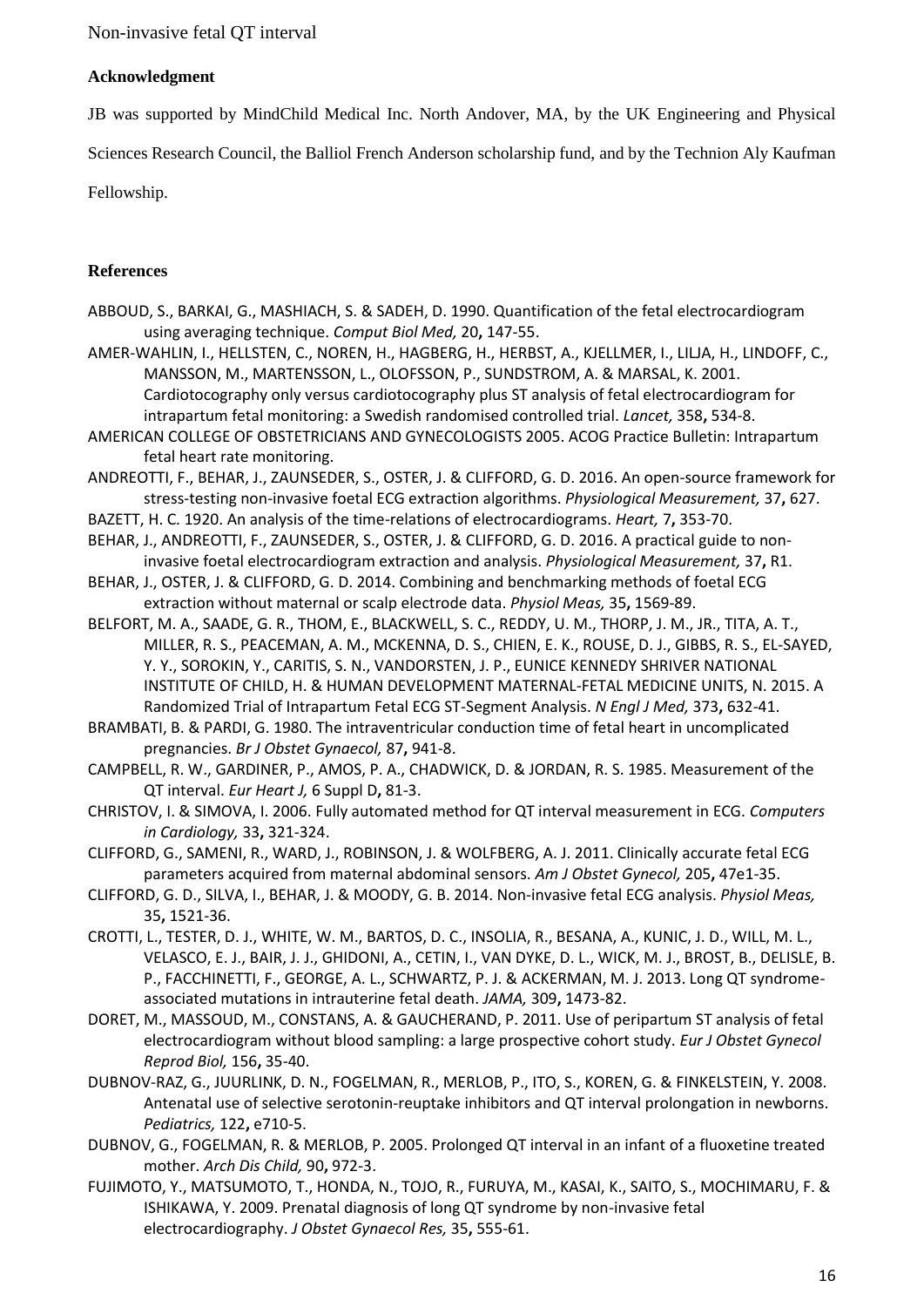## **Acknowledgment**

JB was supported by MindChild Medical Inc. North Andover, MA, by the UK Engineering and Physical

Sciences Research Council, the Balliol French Anderson scholarship fund, and by the Technion Aly Kaufman

Fellowship.

# **References**

- ABBOUD, S., BARKAI, G., MASHIACH, S. & SADEH, D. 1990. Quantification of the fetal electrocardiogram using averaging technique. *Comput Biol Med,* 20**,** 147-55.
- AMER-WAHLIN, I., HELLSTEN, C., NOREN, H., HAGBERG, H., HERBST, A., KJELLMER, I., LILJA, H., LINDOFF, C., MANSSON, M., MARTENSSON, L., OLOFSSON, P., SUNDSTROM, A. & MARSAL, K. 2001. Cardiotocography only versus cardiotocography plus ST analysis of fetal electrocardiogram for intrapartum fetal monitoring: a Swedish randomised controlled trial. *Lancet,* 358**,** 534-8.
- AMERICAN COLLEGE OF OBSTETRICIANS AND GYNECOLOGISTS 2005. ACOG Practice Bulletin: Intrapartum fetal heart rate monitoring.
- ANDREOTTI, F., BEHAR, J., ZAUNSEDER, S., OSTER, J. & CLIFFORD, G. D. 2016. An open-source framework for stress-testing non-invasive foetal ECG extraction algorithms. *Physiological Measurement,* 37**,** 627.
- BAZETT, H. C. 1920. An analysis of the time-relations of electrocardiograms. *Heart,* 7**,** 353-70.
- BEHAR, J., ANDREOTTI, F., ZAUNSEDER, S., OSTER, J. & CLIFFORD, G. D. 2016. A practical guide to noninvasive foetal electrocardiogram extraction and analysis. *Physiological Measurement,* 37**,** R1.
- BEHAR, J., OSTER, J. & CLIFFORD, G. D. 2014. Combining and benchmarking methods of foetal ECG extraction without maternal or scalp electrode data. *Physiol Meas,* 35**,** 1569-89.
- BELFORT, M. A., SAADE, G. R., THOM, E., BLACKWELL, S. C., REDDY, U. M., THORP, J. M., JR., TITA, A. T., MILLER, R. S., PEACEMAN, A. M., MCKENNA, D. S., CHIEN, E. K., ROUSE, D. J., GIBBS, R. S., EL-SAYED, Y. Y., SOROKIN, Y., CARITIS, S. N., VANDORSTEN, J. P., EUNICE KENNEDY SHRIVER NATIONAL INSTITUTE OF CHILD, H. & HUMAN DEVELOPMENT MATERNAL-FETAL MEDICINE UNITS, N. 2015. A Randomized Trial of Intrapartum Fetal ECG ST-Segment Analysis. *N Engl J Med,* 373**,** 632-41.
- BRAMBATI, B. & PARDI, G. 1980. The intraventricular conduction time of fetal heart in uncomplicated pregnancies. *Br J Obstet Gynaecol,* 87**,** 941-8.
- CAMPBELL, R. W., GARDINER, P., AMOS, P. A., CHADWICK, D. & JORDAN, R. S. 1985. Measurement of the QT interval. *Eur Heart J,* 6 Suppl D**,** 81-3.
- CHRISTOV, I. & SIMOVA, I. 2006. Fully automated method for QT interval measurement in ECG. *Computers in Cardiology,* 33**,** 321-324.
- CLIFFORD, G., SAMENI, R., WARD, J., ROBINSON, J. & WOLFBERG, A. J. 2011. Clinically accurate fetal ECG parameters acquired from maternal abdominal sensors. *Am J Obstet Gynecol,* 205**,** 47e1-35.
- CLIFFORD, G. D., SILVA, I., BEHAR, J. & MOODY, G. B. 2014. Non-invasive fetal ECG analysis. *Physiol Meas,* 35**,** 1521-36.
- CROTTI, L., TESTER, D. J., WHITE, W. M., BARTOS, D. C., INSOLIA, R., BESANA, A., KUNIC, J. D., WILL, M. L., VELASCO, E. J., BAIR, J. J., GHIDONI, A., CETIN, I., VAN DYKE, D. L., WICK, M. J., BROST, B., DELISLE, B. P., FACCHINETTI, F., GEORGE, A. L., SCHWARTZ, P. J. & ACKERMAN, M. J. 2013. Long QT syndromeassociated mutations in intrauterine fetal death. *JAMA,* 309**,** 1473-82.
- DORET, M., MASSOUD, M., CONSTANS, A. & GAUCHERAND, P. 2011. Use of peripartum ST analysis of fetal electrocardiogram without blood sampling: a large prospective cohort study. *Eur J Obstet Gynecol Reprod Biol,* 156**,** 35-40.
- DUBNOV-RAZ, G., JUURLINK, D. N., FOGELMAN, R., MERLOB, P., ITO, S., KOREN, G. & FINKELSTEIN, Y. 2008. Antenatal use of selective serotonin-reuptake inhibitors and QT interval prolongation in newborns. *Pediatrics,* 122**,** e710-5.
- DUBNOV, G., FOGELMAN, R. & MERLOB, P. 2005. Prolonged QT interval in an infant of a fluoxetine treated mother. *Arch Dis Child,* 90**,** 972-3.
- FUJIMOTO, Y., MATSUMOTO, T., HONDA, N., TOJO, R., FURUYA, M., KASAI, K., SAITO, S., MOCHIMARU, F. & ISHIKAWA, Y. 2009. Prenatal diagnosis of long QT syndrome by non-invasive fetal electrocardiography. *J Obstet Gynaecol Res,* 35**,** 555-61.